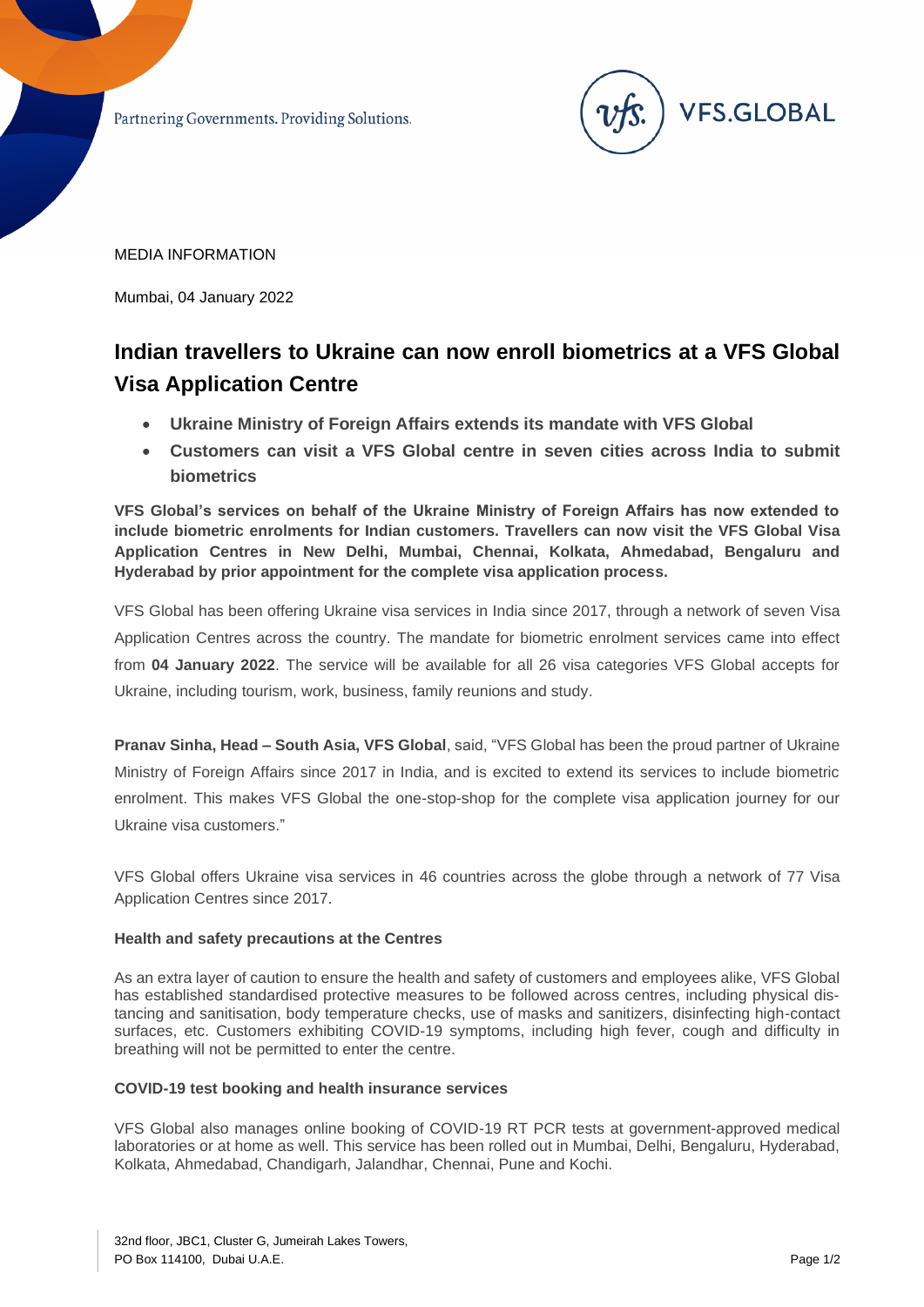Partnering Governments. Providing Solutions.



MEDIA INFORMATION

Mumbai, 04 January 2022

# **Indian travellers to Ukraine can now enroll biometrics at a VFS Global Visa Application Centre**

- **Ukraine Ministry of Foreign Affairs extends its mandate with VFS Global**
- **Customers can visit a VFS Global centre in seven cities across India to submit biometrics**

**VFS Global's services on behalf of the Ukraine Ministry of Foreign Affairs has now extended to include biometric enrolments for Indian customers. Travellers can now visit the VFS Global Visa Application Centres in New Delhi, Mumbai, Chennai, Kolkata, Ahmedabad, Bengaluru and Hyderabad by prior appointment for the complete visa application process.** 

VFS Global has been offering Ukraine visa services in India since 2017, through a network of seven Visa Application Centres across the country. The mandate for biometric enrolment services came into effect from **04 January 2022**. The service will be available for all 26 visa categories VFS Global accepts for Ukraine, including tourism, work, business, family reunions and study.

**Pranav Sinha, Head – South Asia, VFS Global**, said, "VFS Global has been the proud partner of Ukraine Ministry of Foreign Affairs since 2017 in India, and is excited to extend its services to include biometric enrolment. This makes VFS Global the one-stop-shop for the complete visa application journey for our Ukraine visa customers."

VFS Global offers Ukraine visa services in 46 countries across the globe through a network of 77 Visa Application Centres since 2017.

## **Health and safety precautions at the Centres**

As an extra layer of caution to ensure the health and safety of customers and employees alike, VFS Global has established standardised protective measures to be followed across centres, including physical distancing and sanitisation, body temperature checks, use of masks and sanitizers, disinfecting high-contact surfaces, etc. Customers exhibiting COVID-19 symptoms, including high fever, cough and difficulty in breathing will not be permitted to enter the centre.

## **COVID-19 test booking and health insurance services**

VFS Global also manages online booking of COVID-19 RT PCR tests at government-approved medical laboratories or at home as well. This service has been rolled out in Mumbai, Delhi, Bengaluru, Hyderabad, Kolkata, Ahmedabad, Chandigarh, Jalandhar, Chennai, Pune and Kochi.